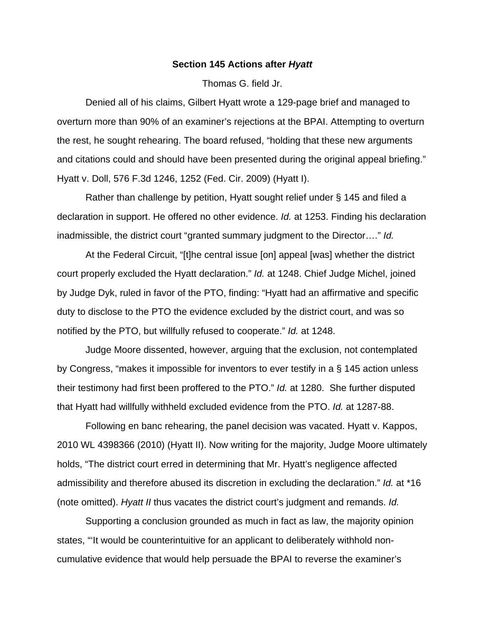## **Section 145 Actions after** *Hyatt*

Thomas G. field Jr.

 Denied all of his claims, Gilbert Hyatt wrote a 129-page brief and managed to overturn more than 90% of an examiner's rejections at the BPAI. Attempting to overturn the rest, he sought rehearing. The board refused, "holding that these new arguments and citations could and should have been presented during the original appeal briefing." Hyatt v. Doll, 576 F.3d 1246, 1252 (Fed. Cir. 2009) (Hyatt I).

 Rather than challenge by petition, Hyatt sought relief under § 145 and filed a declaration in support. He offered no other evidence. *Id.* at 1253. Finding his declaration inadmissible, the district court "granted summary judgment to the Director…." *Id.* 

 At the Federal Circuit, "[t]he central issue [on] appeal [was] whether the district court properly excluded the Hyatt declaration." *Id.* at 1248. Chief Judge Michel, joined by Judge Dyk, ruled in favor of the PTO, finding: "Hyatt had an affirmative and specific duty to disclose to the PTO the evidence excluded by the district court, and was so notified by the PTO, but willfully refused to cooperate." *Id.* at 1248.

 Judge Moore dissented, however, arguing that the exclusion, not contemplated by Congress, "makes it impossible for inventors to ever testify in a § 145 action unless their testimony had first been proffered to the PTO." *Id.* at 1280. She further disputed that Hyatt had willfully withheld excluded evidence from the PTO. *Id.* at 1287-88.

 Following en banc rehearing, the panel decision was vacated. Hyatt v. Kappos, 2010 WL 4398366 (2010) (Hyatt II). Now writing for the majority, Judge Moore ultimately holds, "The district court erred in determining that Mr. Hyatt's negligence affected admissibility and therefore abused its discretion in excluding the declaration." *Id.* at \*16 (note omitted). *Hyatt II* thus vacates the district court's judgment and remands. *Id.*

 Supporting a conclusion grounded as much in fact as law, the majority opinion states, "'It would be counterintuitive for an applicant to deliberately withhold noncumulative evidence that would help persuade the BPAI to reverse the examiner's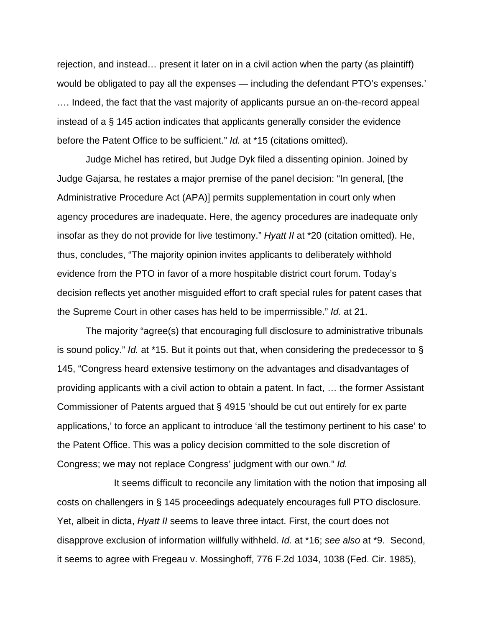rejection, and instead… present it later on in a civil action when the party (as plaintiff) would be obligated to pay all the expenses — including the defendant PTO's expenses.' …. Indeed, the fact that the vast majority of applicants pursue an on-the-record appeal instead of a § 145 action indicates that applicants generally consider the evidence before the Patent Office to be sufficient." *Id.* at \*15 (citations omitted).

 Judge Michel has retired, but Judge Dyk filed a dissenting opinion. Joined by Judge Gajarsa, he restates a major premise of the panel decision: "In general, [the Administrative Procedure Act (APA)] permits supplementation in court only when agency procedures are inadequate. Here, the agency procedures are inadequate only insofar as they do not provide for live testimony." *Hyatt II* at \*20 (citation omitted). He, thus, concludes, "The majority opinion invites applicants to deliberately withhold evidence from the PTO in favor of a more hospitable district court forum. Today's decision reflects yet another misguided effort to craft special rules for patent cases that the Supreme Court in other cases has held to be impermissible." *Id.* at 21.

 The majority "agree(s) that encouraging full disclosure to administrative tribunals is sound policy." *Id.* at \*15. But it points out that, when considering the predecessor to § 145, "Congress heard extensive testimony on the advantages and disadvantages of providing applicants with a civil action to obtain a patent. In fact, … the former Assistant Commissioner of Patents argued that § 4915 'should be cut out entirely for ex parte applications,' to force an applicant to introduce 'all the testimony pertinent to his case' to the Patent Office. This was a policy decision committed to the sole discretion of Congress; we may not replace Congress' judgment with our own." *Id.*

 It seems difficult to reconcile any limitation with the notion that imposing all costs on challengers in § 145 proceedings adequately encourages full PTO disclosure. Yet, albeit in dicta, *Hyatt II* seems to leave three intact. First, the court does not disapprove exclusion of information willfully withheld. *Id.* at \*16; *see also* at \*9. Second, it seems to agree with Fregeau v. Mossinghoff, 776 F.2d 1034, 1038 (Fed. Cir. 1985),